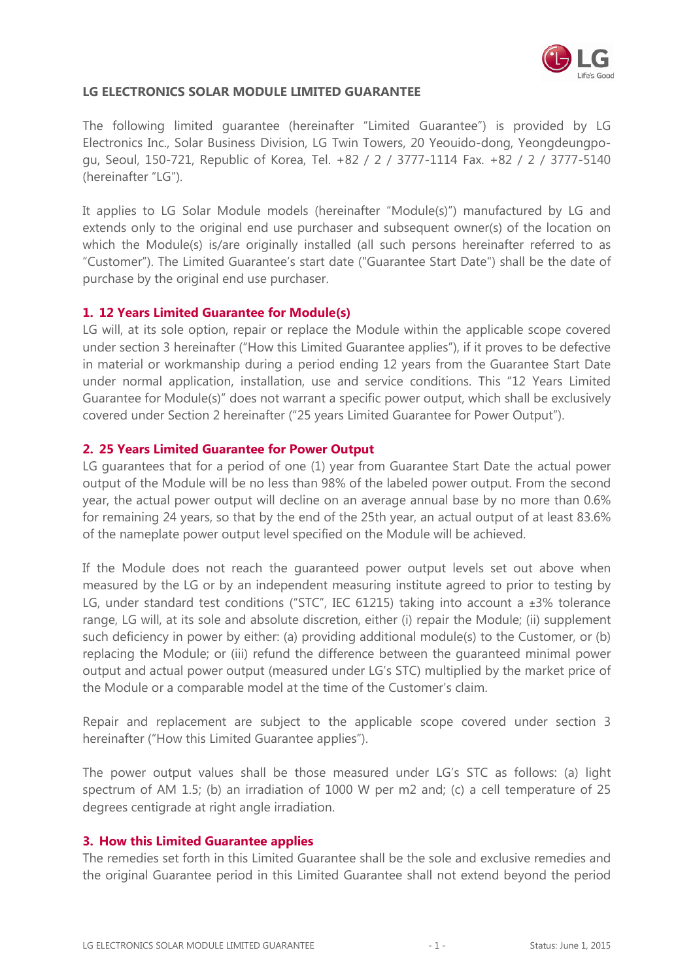

### LG ELECTRONICS SOLAR MODULE LIMITED GUARANTEE

The following limited guarantee (hereinafter "Limited Guarantee") is provided by LG Electronics Inc., Solar Business Division, LG Twin Towers, 20 Yeouido-dong, Yeongdeungpogu, Seoul, 150-721, Republic of Korea, Tel. +82 / 2 / 3777-1114 Fax. +82 / 2 / 3777-5140 (hereinafter "LG").

It applies to LG Solar Module models (hereinafter "Module(s)") manufactured by LG and extends only to the original end use purchaser and subsequent owner(s) of the location on which the Module(s) is/are originally installed (all such persons hereinafter referred to as "Customer"). The Limited Guarantee's start date ("Guarantee Start Date") shall be the date of purchase by the original end use purchaser.

### 1. 12 Years Limited Guarantee for Module(s)

LG will, at its sole option, repair or replace the Module within the applicable scope covered under section 3 hereinafter ("How this Limited Guarantee applies"), if it proves to be defective in material or workmanship during a period ending 12 years from the Guarantee Start Date under normal application, installation, use and service conditions. This "12 Years Limited Guarantee for Module(s)" does not warrant a specific power output, which shall be exclusively covered under Section 2 hereinafter ("25 years Limited Guarantee for Power Output").

#### 2. 25 Years Limited Guarantee for Power Output

LG guarantees that for a period of one (1) year from Guarantee Start Date the actual power output of the Module will be no less than 98% of the labeled power output. From the second year, the actual power output will decline on an average annual base by no more than 0.6% for remaining 24 years, so that by the end of the 25th year, an actual output of at least 83.6% of the nameplate power output level specified on the Module will be achieved.

If the Module does not reach the guaranteed power output levels set out above when measured by the LG or by an independent measuring institute agreed to prior to testing by LG, under standard test conditions ("STC", IEC 61215) taking into account a  $\pm 3\%$  tolerance range, LG will, at its sole and absolute discretion, either (i) repair the Module; (ii) supplement such deficiency in power by either: (a) providing additional module(s) to the Customer, or (b) replacing the Module; or (iii) refund the difference between the guaranteed minimal power output and actual power output (measured under LG's STC) multiplied by the market price of the Module or a comparable model at the time of the Customer's claim.

Repair and replacement are subject to the applicable scope covered under section 3 hereinafter ("How this Limited Guarantee applies").

The power output values shall be those measured under LG's STC as follows: (a) light spectrum of AM 1.5; (b) an irradiation of 1000 W per m2 and; (c) a cell temperature of 25 degrees centigrade at right angle irradiation.

#### 3. How this Limited Guarantee applies

The remedies set forth in this Limited Guarantee shall be the sole and exclusive remedies and the original Guarantee period in this Limited Guarantee shall not extend beyond the period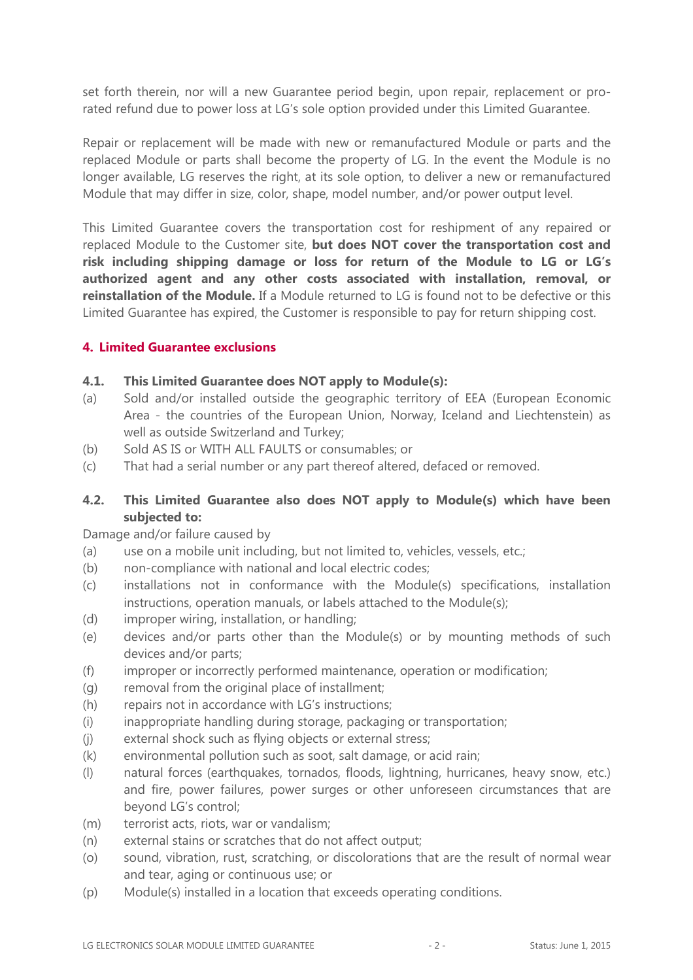set forth therein, nor will a new Guarantee period begin, upon repair, replacement or prorated refund due to power loss at LG's sole option provided under this Limited Guarantee.

Repair or replacement will be made with new or remanufactured Module or parts and the replaced Module or parts shall become the property of LG. In the event the Module is no longer available, LG reserves the right, at its sole option, to deliver a new or remanufactured Module that may differ in size, color, shape, model number, and/or power output level.

This Limited Guarantee covers the transportation cost for reshipment of any repaired or replaced Module to the Customer site, but does NOT cover the transportation cost and risk including shipping damage or loss for return of the Module to LG or LG's authorized agent and any other costs associated with installation, removal, or **reinstallation of the Module.** If a Module returned to LG is found not to be defective or this Limited Guarantee has expired, the Customer is responsible to pay for return shipping cost.

# 4. Limited Guarantee exclusions

## 4.1. This Limited Guarantee does NOT apply to Module(s):

- (a) Sold and/or installed outside the geographic territory of EEA (European Economic Area - the countries of the European Union, Norway, Iceland and Liechtenstein) as well as outside Switzerland and Turkey;
- (b) Sold AS IS or WITH ALL FAULTS or consumables; or
- (c) That had a serial number or any part thereof altered, defaced or removed.

# 4.2. This Limited Guarantee also does NOT apply to Module(s) which have been subjected to:

Damage and/or failure caused by

- (a) use on a mobile unit including, but not limited to, vehicles, vessels, etc.;
- (b) non-compliance with national and local electric codes;
- (c) installations not in conformance with the Module(s) specifications, installation instructions, operation manuals, or labels attached to the Module(s);
- (d) improper wiring, installation, or handling;
- (e) devices and/or parts other than the Module(s) or by mounting methods of such devices and/or parts;
- (f) improper or incorrectly performed maintenance, operation or modification;
- (g) removal from the original place of installment;
- (h) repairs not in accordance with LG's instructions;
- (i) inappropriate handling during storage, packaging or transportation;
- (j) external shock such as flying objects or external stress;
- (k) environmental pollution such as soot, salt damage, or acid rain;
- (l) natural forces (earthquakes, tornados, floods, lightning, hurricanes, heavy snow, etc.) and fire, power failures, power surges or other unforeseen circumstances that are beyond LG's control;
- (m) terrorist acts, riots, war or vandalism;
- (n) external stains or scratches that do not affect output;
- (o) sound, vibration, rust, scratching, or discolorations that are the result of normal wear and tear, aging or continuous use; or
- (p) Module(s) installed in a location that exceeds operating conditions.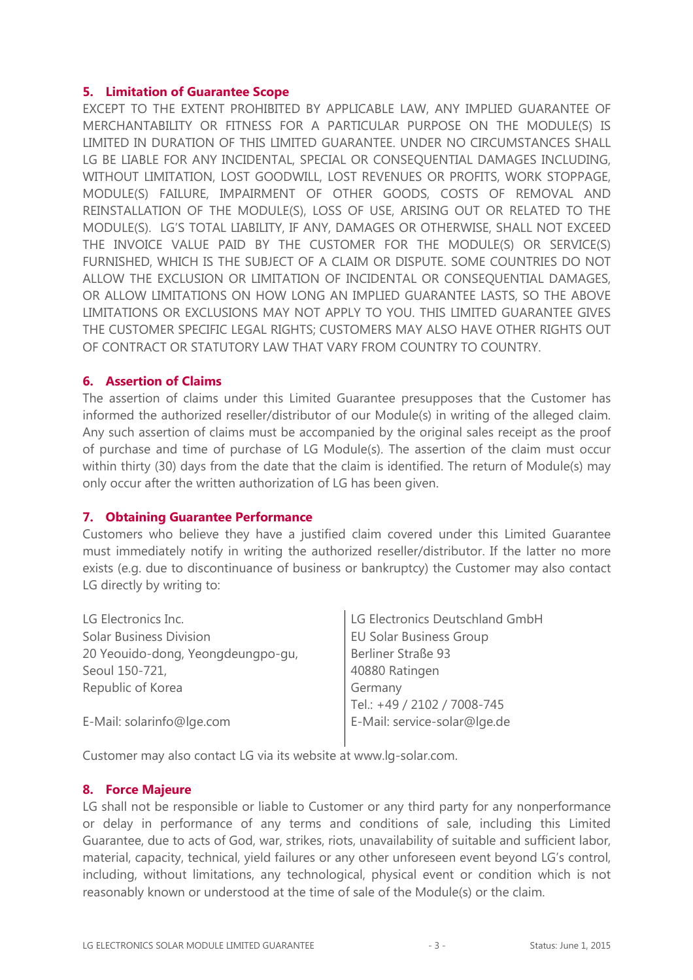## 5. Limitation of Guarantee Scope

EXCEPT TO THE EXTENT PROHIBITED BY APPLICABLE LAW, ANY IMPLIED GUARANTEE OF MERCHANTABILITY OR FITNESS FOR A PARTICULAR PURPOSE ON THE MODULE(S) IS LIMITED IN DURATION OF THIS LIMITED GUARANTEE. UNDER NO CIRCUMSTANCES SHALL LG BE LIABLE FOR ANY INCIDENTAL, SPECIAL OR CONSEQUENTIAL DAMAGES INCLUDING, WITHOUT LIMITATION, LOST GOODWILL, LOST REVENUES OR PROFITS, WORK STOPPAGE, MODULE(S) FAILURE, IMPAIRMENT OF OTHER GOODS, COSTS OF REMOVAL AND REINSTALLATION OF THE MODULE(S), LOSS OF USE, ARISING OUT OR RELATED TO THE MODULE(S). LG'S TOTAL LIABILITY, IF ANY, DAMAGES OR OTHERWISE, SHALL NOT EXCEED THE INVOICE VALUE PAID BY THE CUSTOMER FOR THE MODULE(S) OR SERVICE(S) FURNISHED, WHICH IS THE SUBJECT OF A CLAIM OR DISPUTE. SOME COUNTRIES DO NOT ALLOW THE EXCLUSION OR LIMITATION OF INCIDENTAL OR CONSEQUENTIAL DAMAGES, OR ALLOW LIMITATIONS ON HOW LONG AN IMPLIED GUARANTEE LASTS, SO THE ABOVE LIMITATIONS OR EXCLUSIONS MAY NOT APPLY TO YOU. THIS LIMITED GUARANTEE GIVES THE CUSTOMER SPECIFIC LEGAL RIGHTS; CUSTOMERS MAY ALSO HAVE OTHER RIGHTS OUT OF CONTRACT OR STATUTORY LAW THAT VARY FROM COUNTRY TO COUNTRY.

## 6. Assertion of Claims

The assertion of claims under this Limited Guarantee presupposes that the Customer has informed the authorized reseller/distributor of our Module(s) in writing of the alleged claim. Any such assertion of claims must be accompanied by the original sales receipt as the proof of purchase and time of purchase of LG Module(s). The assertion of the claim must occur within thirty (30) days from the date that the claim is identified. The return of Module(s) may only occur after the written authorization of LG has been given.

# 7. Obtaining Guarantee Performance

Customers who believe they have a justified claim covered under this Limited Guarantee must immediately notify in writing the authorized reseller/distributor. If the latter no more exists (e.g. due to discontinuance of business or bankruptcy) the Customer may also contact LG directly by writing to:

| LG Electronics Inc.               | LG Electronics Deutschland GmbH |
|-----------------------------------|---------------------------------|
| <b>Solar Business Division</b>    | <b>EU Solar Business Group</b>  |
| 20 Yeouido-dong, Yeongdeungpo-gu, | Berliner Straße 93              |
| Seoul 150-721,                    | 40880 Ratingen                  |
| Republic of Korea                 | Germany                         |
|                                   | Tel.: +49 / 2102 / 7008-745     |
| E-Mail: solarinfo@lge.com         | E-Mail: service-solar@lge.de    |
|                                   |                                 |

Customer may also contact LG via its website at www.lg-solar.com.

### 8. Force Majeure

LG shall not be responsible or liable to Customer or any third party for any nonperformance or delay in performance of any terms and conditions of sale, including this Limited Guarantee, due to acts of God, war, strikes, riots, unavailability of suitable and sufficient labor, material, capacity, technical, yield failures or any other unforeseen event beyond LG's control, including, without limitations, any technological, physical event or condition which is not reasonably known or understood at the time of sale of the Module(s) or the claim.